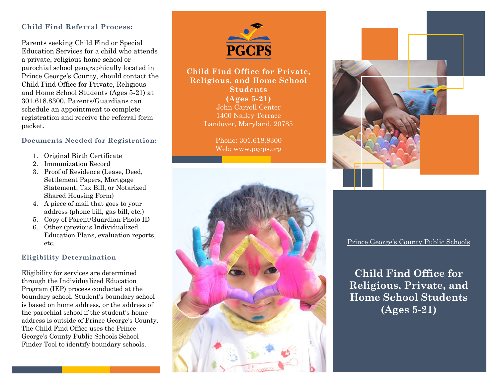### **Child Find Referral Process:**

Parents seeking Child Find or Special Education Services for a child who attends a private, religious home school or parochial school geographically located in Prince George's County, should contact the Child Find Office for Private, Religious and Home School Students (Ages 5-21) at 301.618.8300. Parents/Guardians can schedule an appointment to complete registration and receive the referral form packet.

#### **Documents Needed for Registration:**

- 1. Original Birth Certificate
- 2. Immunization Record
- 3. Proof of Residence (Lease, Deed, Settlement Papers, Mortgage Statement, Tax Bill, or Notarized Shared Housing Form)
- 4. A piece of mail that goes to your address (phone bill, gas bill, etc.)
- 5. Copy of Parent/Guardian Photo ID
- 6. Other (previous Individualized Education Plans, evaluation reports, etc.

#### **Eligibility Determination**

Eligibility for services are determined through the Individualized Education Program (IEP) process conducted at the boundary school. Student's boundary school is based on home address, or the address of the parochial school if the student's home address is outside of Prince George's County. The Child Find Office uses the Prince George's County Public Schools School Finder Tool to identify boundary schools.



### **Child Find Office for Private, Religious, and Home School Students (Ages 5-21)** John Carroll Center 1400 Nalley Terrace Landover, Maryland, 20785

Phone: 301.618.8300 Web: www.pgcps.org





Prince George's County Public Schools

**Child Find Office for Religious, Private, and Home School Students (Ages 5-21)**